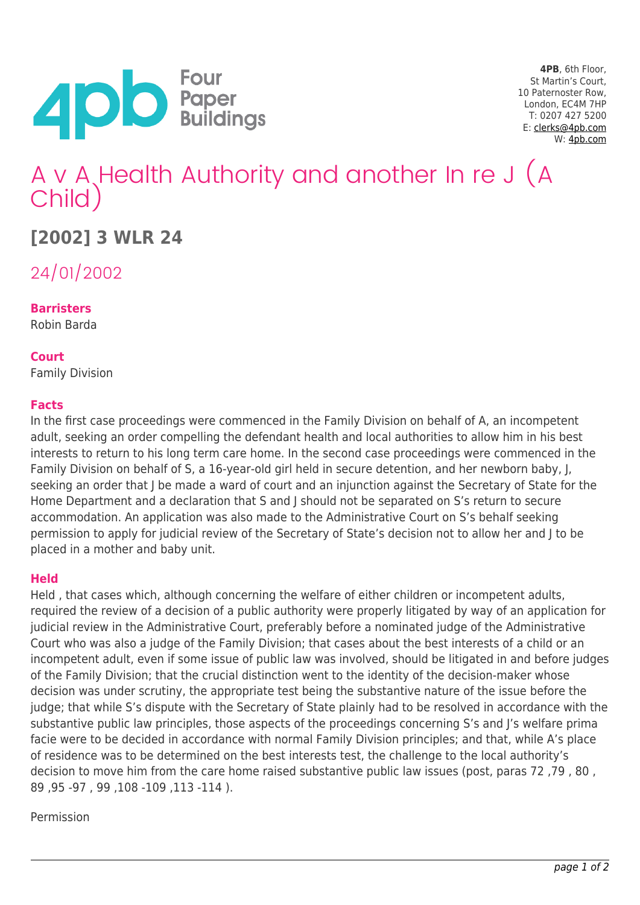

**4PB**, 6th Floor, St Martin's Court, 10 Paternoster Row, London, EC4M 7HP T: 0207 427 5200 E: [clerks@4pb.com](mailto:clerks@4pb.com) W: [4pb.com](http://4pb.com)

# A v A Health Authority and another In re J (A Child)

## **[2002] 3 WLR 24**

24/01/2002

**Barristers**

Robin Barda

#### **Court**

Family Division

#### **Facts**

In the first case proceedings were commenced in the Family Division on behalf of A, an incompetent adult, seeking an order compelling the defendant health and local authorities to allow him in his best interests to return to his long term care home. In the second case proceedings were commenced in the Family Division on behalf of S, a 16-year-old girl held in secure detention, and her newborn baby, J, seeking an order that J be made a ward of court and an injunction against the Secretary of State for the Home Department and a declaration that S and J should not be separated on S's return to secure accommodation. An application was also made to the Administrative Court on S's behalf seeking permission to apply for judicial review of the Secretary of State's decision not to allow her and J to be placed in a mother and baby unit.

#### **Held**

Held , that cases which, although concerning the welfare of either children or incompetent adults, required the review of a decision of a public authority were properly litigated by way of an application for judicial review in the Administrative Court, preferably before a nominated judge of the Administrative Court who was also a judge of the Family Division; that cases about the best interests of a child or an incompetent adult, even if some issue of public law was involved, should be litigated in and before judges of the Family Division; that the crucial distinction went to the identity of the decision-maker whose decision was under scrutiny, the appropriate test being the substantive nature of the issue before the judge; that while S's dispute with the Secretary of State plainly had to be resolved in accordance with the substantive public law principles, those aspects of the proceedings concerning S's and J's welfare prima facie were to be decided in accordance with normal Family Division principles; and that, while A's place of residence was to be determined on the best interests test, the challenge to the local authority's decision to move him from the care home raised substantive public law issues (post, paras 72 ,79 , 80 , 89 ,95 -97 , 99 ,108 -109 ,113 -114 ).

#### Permission